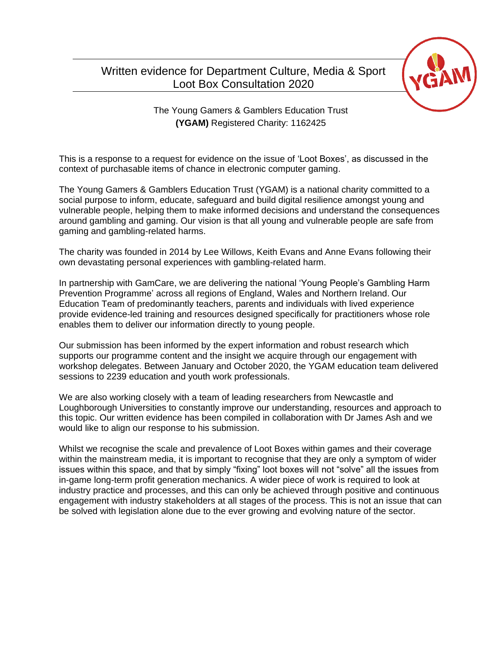# Written evidence for Department Culture, Media & Sport Loot Box Consultation 2020



The Young Gamers & Gamblers Education Trust **(YGAM)** Registered Charity: 1162425

This is a response to a request for evidence on the issue of 'Loot Boxes', as discussed in the context of purchasable items of chance in electronic computer gaming.

The Young Gamers & Gamblers Education Trust (YGAM) is a national charity committed to a social purpose to inform, educate, safeguard and build digital resilience amongst young and vulnerable people, helping them to make informed decisions and understand the consequences around gambling and gaming. Our vision is that all young and vulnerable people are safe from gaming and gambling-related harms.

The charity was founded in 2014 by Lee Willows, Keith Evans and Anne Evans following their own devastating personal experiences with gambling-related harm.

In partnership with GamCare, we are delivering the national 'Young People's Gambling Harm Prevention Programme' across all regions of England, Wales and Northern Ireland. Our Education Team of predominantly teachers, parents and individuals with lived experience provide evidence-led training and resources designed specifically for practitioners whose role enables them to deliver our information directly to young people.

Our submission has been informed by the expert information and robust research which supports our programme content and the insight we acquire through our engagement with workshop delegates. Between January and October 2020, the YGAM education team delivered sessions to 2239 education and youth work professionals.

We are also working closely with a team of leading researchers from Newcastle and Loughborough Universities to constantly improve our understanding, resources and approach to this topic. Our written evidence has been compiled in collaboration with Dr James Ash and we would like to align our response to his submission.

Whilst we recognise the scale and prevalence of Loot Boxes within games and their coverage within the mainstream media, it is important to recognise that they are only a symptom of wider issues within this space, and that by simply "fixing" loot boxes will not "solve" all the issues from in-game long-term profit generation mechanics. A wider piece of work is required to look at industry practice and processes, and this can only be achieved through positive and continuous engagement with industry stakeholders at all stages of the process. This is not an issue that can be solved with legislation alone due to the ever growing and evolving nature of the sector.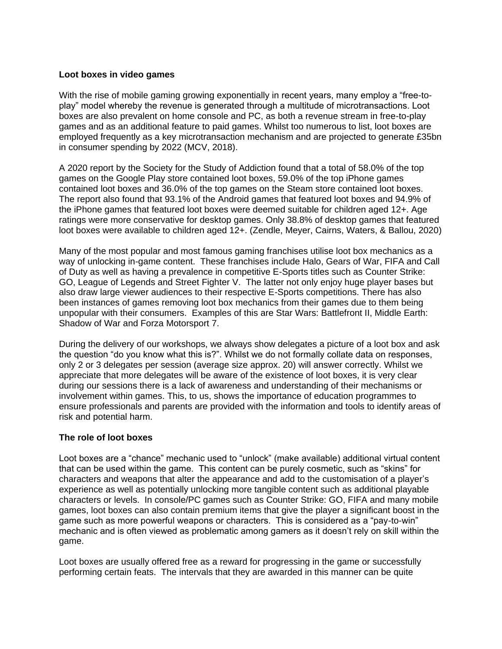## **Loot boxes in video games**

With the rise of mobile gaming growing exponentially in recent vears, many emplov a "free-toplay" model whereby the revenue is generated through a multitude of microtransactions. Loot boxes are also prevalent on home console and PC, as both a revenue stream in free-to-play games and as an additional feature to paid games. Whilst too numerous to list, loot boxes are employed frequently as a key microtransaction mechanism and are projected to generate £35bn in consumer spending by 2022 (MCV, 2018).

A 2020 report by the Society for the Study of Addiction found that a total of 58.0% of the top games on the Google Play store contained loot boxes, 59.0% of the top iPhone games contained loot boxes and 36.0% of the top games on the Steam store contained loot boxes. The report also found that 93.1% of the Android games that featured loot boxes and 94.9% of the iPhone games that featured loot boxes were deemed suitable for children aged 12+. Age ratings were more conservative for desktop games. Only 38.8% of desktop games that featured loot boxes were available to children aged 12+. (Zendle, Meyer, Cairns, Waters, & Ballou, 2020)

Many of the most popular and most famous gaming franchises utilise loot box mechanics as a way of unlocking in-game content. These franchises include Halo, Gears of War, FIFA and Call of Duty as well as having a prevalence in competitive E-Sports titles such as Counter Strike: GO, League of Legends and Street Fighter V. The latter not only enjoy huge player bases but also draw large viewer audiences to their respective E-Sports competitions. There has also been instances of games removing loot box mechanics from their games due to them being unpopular with their consumers. Examples of this are Star Wars: Battlefront II, Middle Earth: Shadow of War and Forza Motorsport 7.

During the delivery of our workshops, we always show delegates a picture of a loot box and ask the question "do you know what this is?". Whilst we do not formally collate data on responses, only 2 or 3 delegates per session (average size approx. 20) will answer correctly. Whilst we appreciate that more delegates will be aware of the existence of loot boxes, it is very clear during our sessions there is a lack of awareness and understanding of their mechanisms or involvement within games. This, to us, shows the importance of education programmes to ensure professionals and parents are provided with the information and tools to identify areas of risk and potential harm.

#### **The role of loot boxes**

Loot boxes are a "chance" mechanic used to "unlock" (make available) additional virtual content that can be used within the game. This content can be purely cosmetic, such as "skins" for characters and weapons that alter the appearance and add to the customisation of a player's experience as well as potentially unlocking more tangible content such as additional playable characters or levels. In console/PC games such as Counter Strike: GO, FIFA and many mobile games, loot boxes can also contain premium items that give the player a significant boost in the game such as more powerful weapons or characters. This is considered as a "pay-to-win" mechanic and is often viewed as problematic among gamers as it doesn't rely on skill within the game.

Loot boxes are usually offered free as a reward for progressing in the game or successfully performing certain feats. The intervals that they are awarded in this manner can be quite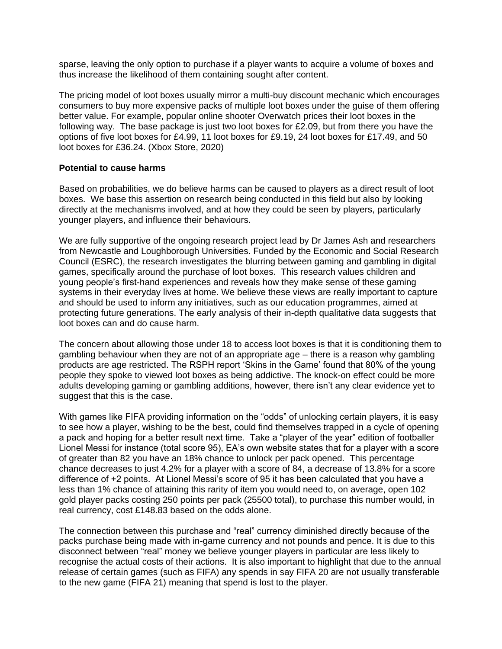sparse, leaving the only option to purchase if a player wants to acquire a volume of boxes and thus increase the likelihood of them containing sought after content.

The pricing model of loot boxes usually mirror a multi-buy discount mechanic which encourages consumers to buy more expensive packs of multiple loot boxes under the guise of them offering better value. For example, popular online shooter Overwatch prices their loot boxes in the following way. The base package is just two loot boxes for £2.09, but from there you have the options of five loot boxes for £4.99, 11 loot boxes for £9.19, 24 loot boxes for £17.49, and 50 loot boxes for £36.24. (Xbox Store, 2020)

#### **Potential to cause harms**

Based on probabilities, we do believe harms can be caused to players as a direct result of loot boxes. We base this assertion on research being conducted in this field but also by looking directly at the mechanisms involved, and at how they could be seen by players, particularly younger players, and influence their behaviours.

We are fully supportive of the ongoing research project lead by Dr James Ash and researchers from Newcastle and Loughborough Universities. Funded by the Economic and Social Research Council (ESRC), the research investigates the blurring between gaming and gambling in digital games, specifically around the purchase of loot boxes. This research values children and young people's first-hand experiences and reveals how they make sense of these gaming systems in their everyday lives at home. We believe these views are really important to capture and should be used to inform any initiatives, such as our education programmes, aimed at protecting future generations. The early analysis of their in-depth qualitative data suggests that loot boxes can and do cause harm.

The concern about allowing those under 18 to access loot boxes is that it is conditioning them to gambling behaviour when they are not of an appropriate age – there is a reason why gambling products are age restricted. The RSPH report 'Skins in the Game' found that 80% of the young people they spoke to viewed loot boxes as being addictive. The knock-on effect could be more adults developing gaming or gambling additions, however, there isn't any clear evidence yet to suggest that this is the case.

With games like FIFA providing information on the "odds" of unlocking certain players, it is easy to see how a player, wishing to be the best, could find themselves trapped in a cycle of opening a pack and hoping for a better result next time. Take a "player of the year" edition of footballer Lionel Messi for instance (total score 95), EA's own website states that for a player with a score of greater than 82 you have an 18% chance to unlock per pack opened. This percentage chance decreases to just 4.2% for a player with a score of 84, a decrease of 13.8% for a score difference of +2 points. At Lionel Messi's score of 95 it has been calculated that you have a less than 1% chance of attaining this rarity of item you would need to, on average, open 102 gold player packs costing 250 points per pack (25500 total), to purchase this number would, in real currency, cost £148.83 based on the odds alone.

The connection between this purchase and "real" currency diminished directly because of the packs purchase being made with in-game currency and not pounds and pence. It is due to this disconnect between "real" money we believe younger players in particular are less likely to recognise the actual costs of their actions. It is also important to highlight that due to the annual release of certain games (such as FIFA) any spends in say FIFA 20 are not usually transferable to the new game (FIFA 21) meaning that spend is lost to the player.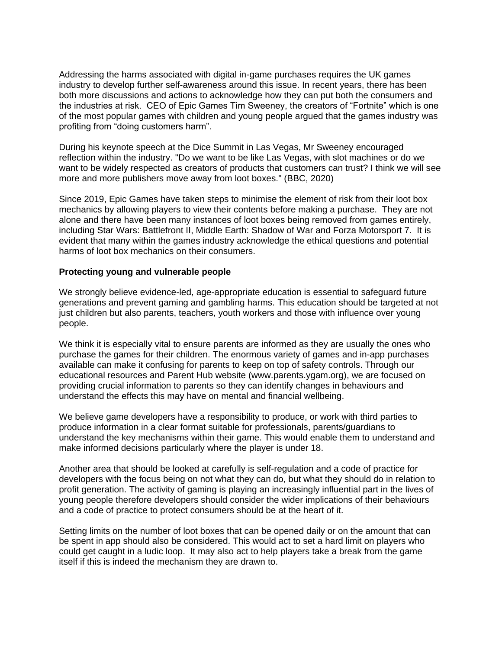Addressing the harms associated with digital in-game purchases requires the UK games industry to develop further self-awareness around this issue. In recent years, there has been both more discussions and actions to acknowledge how they can put both the consumers and the industries at risk. CEO of Epic Games Tim Sweeney, the creators of "Fortnite" which is one of the most popular games with children and young people argued that the games industry was profiting from "doing customers harm".

During his keynote speech at the Dice Summit in Las Vegas, Mr Sweeney encouraged reflection within the industry. "Do we want to be like Las Vegas, with slot machines or do we want to be widely respected as creators of products that customers can trust? I think we will see more and more publishers move away from loot boxes." (BBC, 2020)

Since 2019, Epic Games have taken steps to minimise the element of risk from their loot box mechanics by allowing players to view their contents before making a purchase. They are not alone and there have been many instances of loot boxes being removed from games entirely, including Star Wars: Battlefront II, Middle Earth: Shadow of War and Forza Motorsport 7. It is evident that many within the games industry acknowledge the ethical questions and potential harms of loot box mechanics on their consumers.

#### **Protecting young and vulnerable people**

We strongly believe evidence-led, age-appropriate education is essential to safeguard future generations and prevent gaming and gambling harms. This education should be targeted at not just children but also parents, teachers, youth workers and those with influence over young people.

We think it is especially vital to ensure parents are informed as they are usually the ones who purchase the games for their children. The enormous variety of games and in-app purchases available can make it confusing for parents to keep on top of safety controls. Through our educational resources and Parent Hub website (www.parents.ygam.org), we are focused on providing crucial information to parents so they can identify changes in behaviours and understand the effects this may have on mental and financial wellbeing.

We believe game developers have a responsibility to produce, or work with third parties to produce information in a clear format suitable for professionals, parents/guardians to understand the key mechanisms within their game. This would enable them to understand and make informed decisions particularly where the player is under 18.

Another area that should be looked at carefully is self-regulation and a code of practice for developers with the focus being on not what they can do, but what they should do in relation to profit generation. The activity of gaming is playing an increasingly influential part in the lives of young people therefore developers should consider the wider implications of their behaviours and a code of practice to protect consumers should be at the heart of it.

Setting limits on the number of loot boxes that can be opened daily or on the amount that can be spent in app should also be considered. This would act to set a hard limit on players who could get caught in a ludic loop. It may also act to help players take a break from the game itself if this is indeed the mechanism they are drawn to.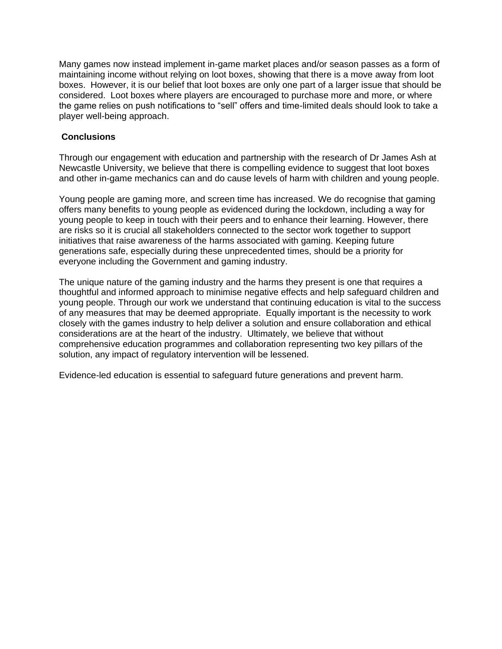Many games now instead implement in-game market places and/or season passes as a form of maintaining income without relying on loot boxes, showing that there is a move away from loot boxes. However, it is our belief that loot boxes are only one part of a larger issue that should be considered. Loot boxes where players are encouraged to purchase more and more, or where the game relies on push notifications to "sell" offers and time-limited deals should look to take a player well-being approach.

# **Conclusions**

Through our engagement with education and partnership with the research of Dr James Ash at Newcastle University, we believe that there is compelling evidence to suggest that loot boxes and other in-game mechanics can and do cause levels of harm with children and young people.

Young people are gaming more, and screen time has increased. We do recognise that gaming offers many benefits to young people as evidenced during the lockdown, including a way for young people to keep in touch with their peers and to enhance their learning. However, there are risks so it is crucial all stakeholders connected to the sector work together to support initiatives that raise awareness of the harms associated with gaming. Keeping future generations safe, especially during these unprecedented times, should be a priority for everyone including the Government and gaming industry.

The unique nature of the gaming industry and the harms they present is one that requires a thoughtful and informed approach to minimise negative effects and help safeguard children and young people. Through our work we understand that continuing education is vital to the success of any measures that may be deemed appropriate. Equally important is the necessity to work closely with the games industry to help deliver a solution and ensure collaboration and ethical considerations are at the heart of the industry. Ultimately, we believe that without comprehensive education programmes and collaboration representing two key pillars of the solution, any impact of regulatory intervention will be lessened.

Evidence-led education is essential to safeguard future generations and prevent harm.